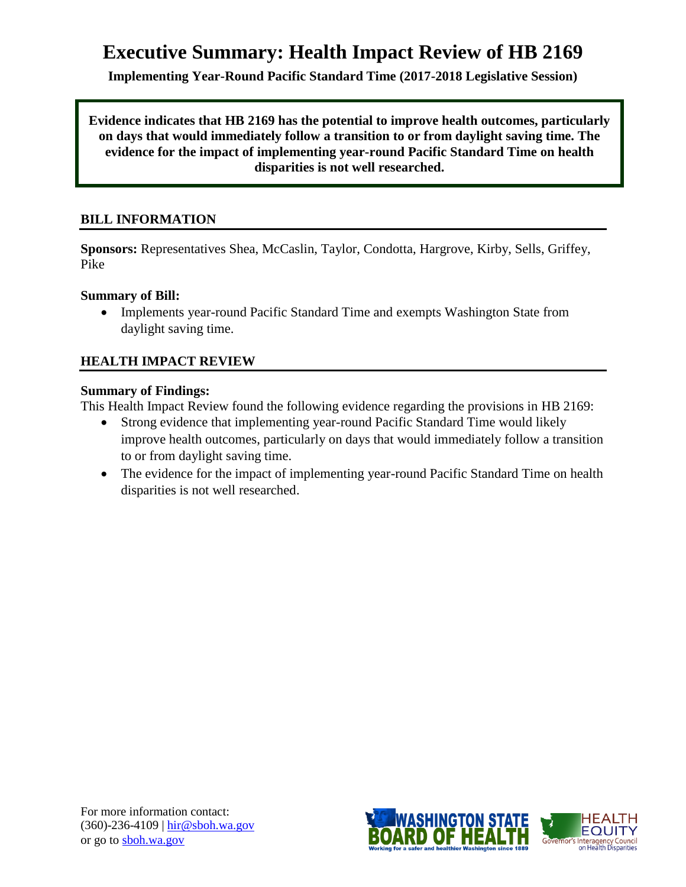# **Executive Summary: Health Impact Review of HB 2169**

**Implementing Year-Round Pacific Standard Time (2017-2018 Legislative Session)**

**Evidence indicates that HB 2169 has the potential to improve health outcomes, particularly on days that would immediately follow a transition to or from daylight saving time. The evidence for the impact of implementing year-round Pacific Standard Time on health disparities is not well researched.**

# **BILL INFORMATION**

**Sponsors:** Representatives Shea, McCaslin, Taylor, Condotta, Hargrove, Kirby, Sells, Griffey, Pike

#### **Summary of Bill:**

• Implements year-round Pacific Standard Time and exempts Washington State from daylight saving time.

# **HEALTH IMPACT REVIEW**

#### **Summary of Findings:**

This Health Impact Review found the following evidence regarding the provisions in HB 2169:

- Strong evidence that implementing year-round Pacific Standard Time would likely improve health outcomes, particularly on days that would immediately follow a transition to or from daylight saving time.
- The evidence for the impact of implementing year-round Pacific Standard Time on health disparities is not well researched.

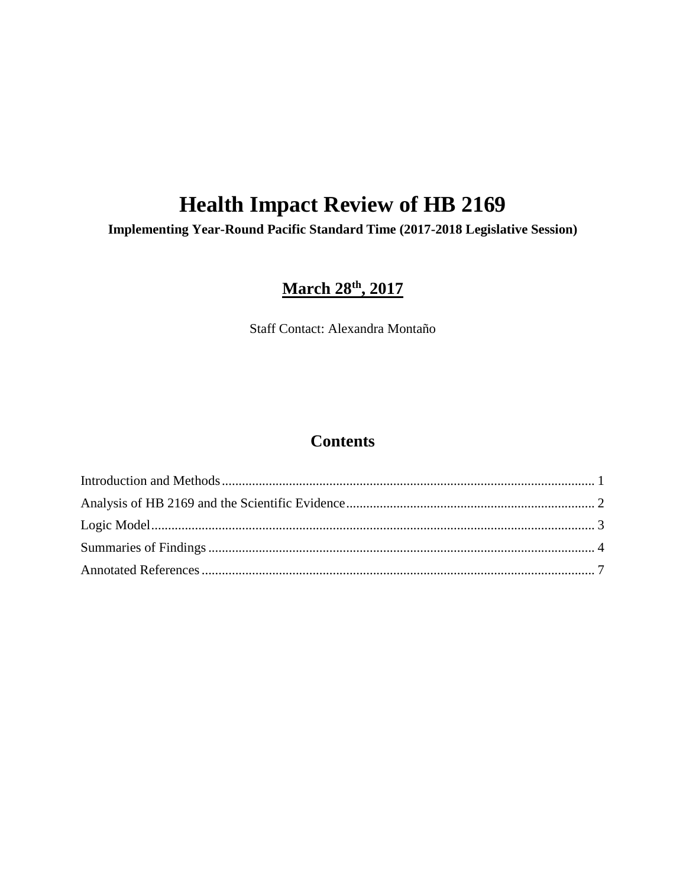# **Health Impact Review of HB 2169**

**Implementing Year-Round Pacific Standard Time (2017-2018 Legislative Session)**

# **March 28th , 2017**

Staff Contact: Alexandra Montaño

# **Contents**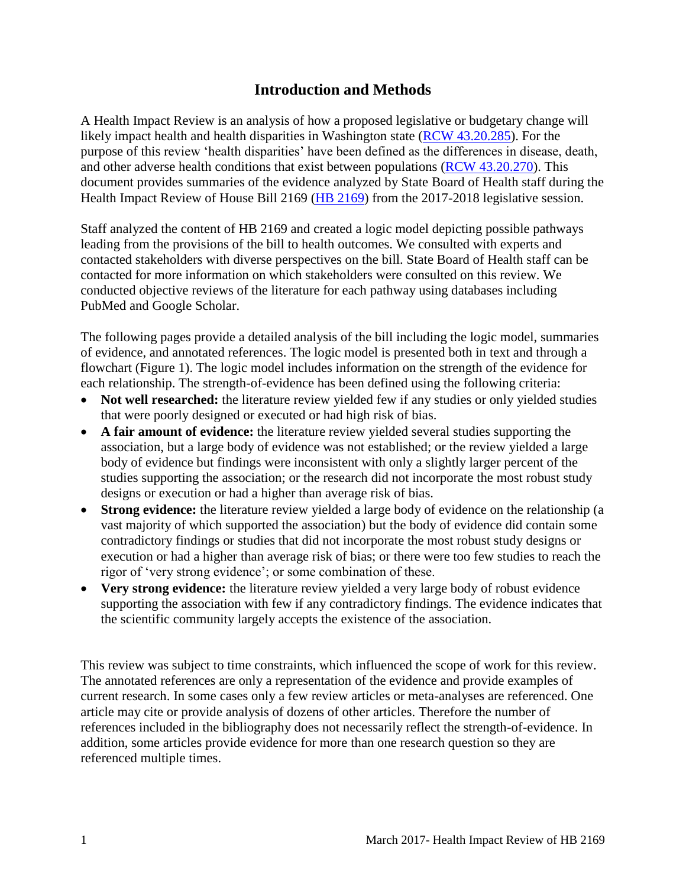# **Introduction and Methods**

<span id="page-2-0"></span>A Health Impact Review is an analysis of how a proposed legislative or budgetary change will likely impact health and health disparities in Washington state [\(RCW 43.20.285\)](http://apps.leg.wa.gov/rcw/default.aspx?cite=43.20.285). For the purpose of this review 'health disparities' have been defined as the differences in disease, death, and other adverse health conditions that exist between populations [\(RCW 43.20.270\)](http://apps.leg.wa.gov/rcw/default.aspx?cite=43.20.270). This document provides summaries of the evidence analyzed by State Board of Health staff during the Health Impact Review of House Bill 2169 [\(HB 2169\)](http://lawfilesext.leg.wa.gov/biennium/2017-18/Pdf/Bills/House%20Bills/2169.pdf) from the 2017-2018 legislative session.

Staff analyzed the content of HB 2169 and created a logic model depicting possible pathways leading from the provisions of the bill to health outcomes. We consulted with experts and contacted stakeholders with diverse perspectives on the bill. State Board of Health staff can be contacted for more information on which stakeholders were consulted on this review. We conducted objective reviews of the literature for each pathway using databases including PubMed and Google Scholar.

The following pages provide a detailed analysis of the bill including the logic model, summaries of evidence, and annotated references. The logic model is presented both in text and through a flowchart (Figure 1). The logic model includes information on the strength of the evidence for each relationship. The strength-of-evidence has been defined using the following criteria:

- **Not well researched:** the literature review yielded few if any studies or only yielded studies that were poorly designed or executed or had high risk of bias.
- **A fair amount of evidence:** the literature review yielded several studies supporting the association, but a large body of evidence was not established; or the review yielded a large body of evidence but findings were inconsistent with only a slightly larger percent of the studies supporting the association; or the research did not incorporate the most robust study designs or execution or had a higher than average risk of bias.
- **Strong evidence:** the literature review yielded a large body of evidence on the relationship (a vast majority of which supported the association) but the body of evidence did contain some contradictory findings or studies that did not incorporate the most robust study designs or execution or had a higher than average risk of bias; or there were too few studies to reach the rigor of 'very strong evidence'; or some combination of these.
- **Very strong evidence:** the literature review yielded a very large body of robust evidence supporting the association with few if any contradictory findings. The evidence indicates that the scientific community largely accepts the existence of the association.

This review was subject to time constraints, which influenced the scope of work for this review. The annotated references are only a representation of the evidence and provide examples of current research. In some cases only a few review articles or meta-analyses are referenced. One article may cite or provide analysis of dozens of other articles. Therefore the number of references included in the bibliography does not necessarily reflect the strength-of-evidence. In addition, some articles provide evidence for more than one research question so they are referenced multiple times.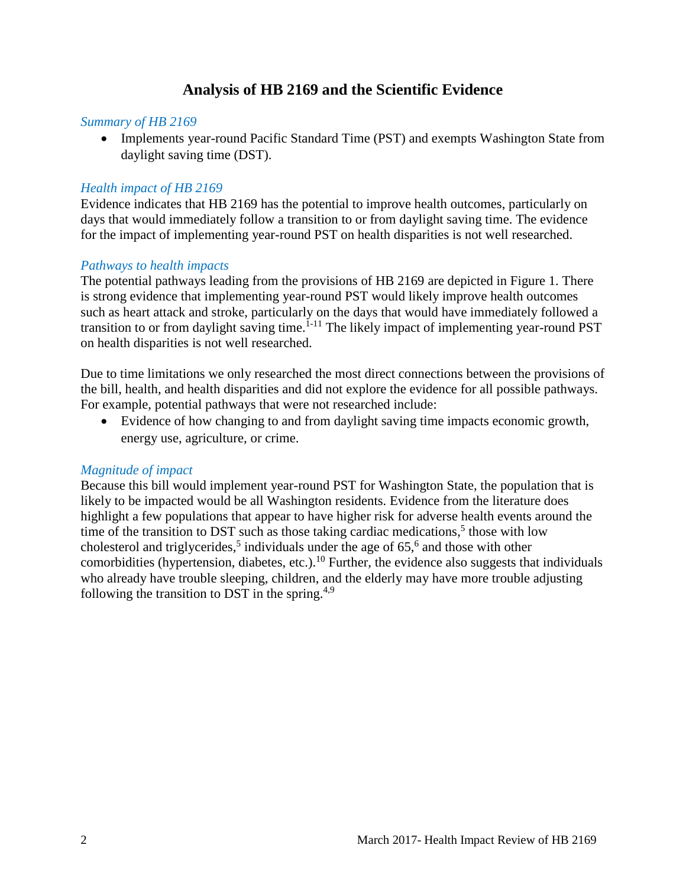# **Analysis of HB 2169 and the Scientific Evidence**

#### <span id="page-3-0"></span>*Summary of HB 2169*

• Implements year-round Pacific Standard Time (PST) and exempts Washington State from daylight saving time (DST).

#### *Health impact of HB 2169*

Evidence indicates that HB 2169 has the potential to improve health outcomes, particularly on days that would immediately follow a transition to or from daylight saving time. The evidence for the impact of implementing year-round PST on health disparities is not well researched.

#### *Pathways to health impacts*

The potential pathways leading from the provisions of HB 2169 are depicted in Figure 1. There is strong evidence that implementing year-round PST would likely improve health outcomes such as heart attack and stroke, particularly on the days that would have immediately followed a transition to or from daylight saving time.<sup>1-11</sup> The likely impact of implementing year-round PST on health disparities is not well researched.

Due to time limitations we only researched the most direct connections between the provisions of the bill, health, and health disparities and did not explore the evidence for all possible pathways. For example, potential pathways that were not researched include:

 Evidence of how changing to and from daylight saving time impacts economic growth, energy use, agriculture, or crime.

#### *Magnitude of impact*

Because this bill would implement year-round PST for Washington State, the population that is likely to be impacted would be all Washington residents. Evidence from the literature does highlight a few populations that appear to have higher risk for adverse health events around the time of the transition to DST such as those taking cardiac medications,<sup>5</sup> those with low cholesterol and triglycerides,<sup>5</sup> individuals under the age of  $65$ ,<sup>6</sup> and those with other comorbidities (hypertension, diabetes, etc.).<sup>10</sup> Further, the evidence also suggests that individuals who already have trouble sleeping, children, and the elderly may have more trouble adjusting following the transition to DST in the spring.<sup>4,9</sup>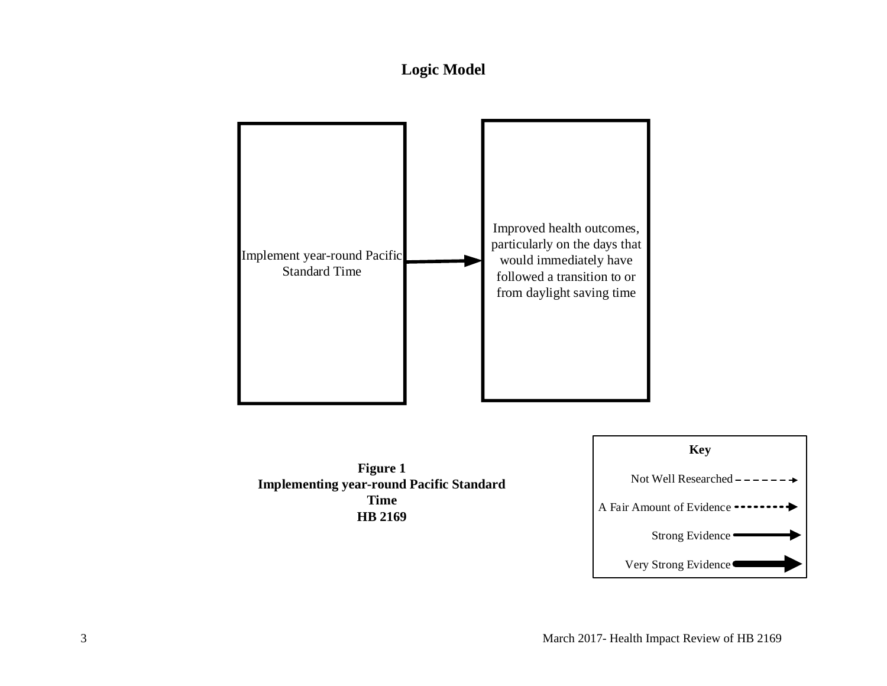# **Logic Model**

<span id="page-4-0"></span>



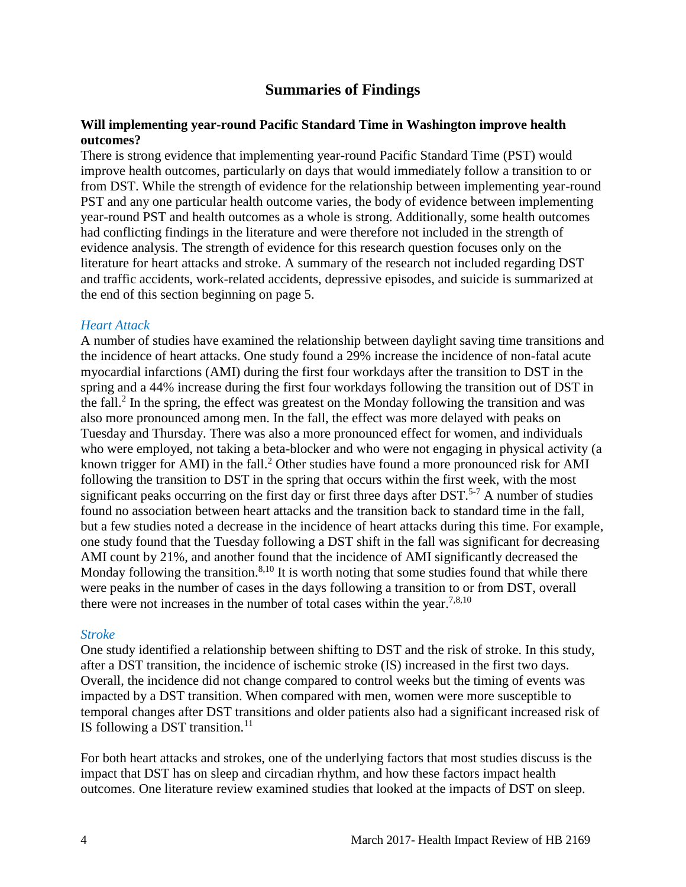# **Summaries of Findings**

#### <span id="page-5-0"></span>**Will implementing year-round Pacific Standard Time in Washington improve health outcomes?**

There is strong evidence that implementing year-round Pacific Standard Time (PST) would improve health outcomes, particularly on days that would immediately follow a transition to or from DST. While the strength of evidence for the relationship between implementing year-round PST and any one particular health outcome varies, the body of evidence between implementing year-round PST and health outcomes as a whole is strong. Additionally, some health outcomes had conflicting findings in the literature and were therefore not included in the strength of evidence analysis. The strength of evidence for this research question focuses only on the literature for heart attacks and stroke. A summary of the research not included regarding DST and traffic accidents, work-related accidents, depressive episodes, and suicide is summarized at the end of this section beginning on page 5.

#### *Heart Attack*

A number of studies have examined the relationship between daylight saving time transitions and the incidence of heart attacks. One study found a 29% increase the incidence of non-fatal acute myocardial infarctions (AMI) during the first four workdays after the transition to DST in the spring and a 44% increase during the first four workdays following the transition out of DST in the fall.<sup>2</sup> In the spring, the effect was greatest on the Monday following the transition and was also more pronounced among men. In the fall, the effect was more delayed with peaks on Tuesday and Thursday. There was also a more pronounced effect for women, and individuals who were employed, not taking a beta-blocker and who were not engaging in physical activity (a known trigger for AMI) in the fall.<sup>2</sup> Other studies have found a more pronounced risk for AMI following the transition to DST in the spring that occurs within the first week, with the most significant peaks occurring on the first day or first three days after DST.<sup>5-7</sup> A number of studies found no association between heart attacks and the transition back to standard time in the fall, but a few studies noted a decrease in the incidence of heart attacks during this time. For example, one study found that the Tuesday following a DST shift in the fall was significant for decreasing AMI count by 21%, and another found that the incidence of AMI significantly decreased the Monday following the transition.<sup>8,10</sup> It is worth noting that some studies found that while there were peaks in the number of cases in the days following a transition to or from DST, overall there were not increases in the number of total cases within the year.<sup>7,8,10</sup>

#### *Stroke*

One study identified a relationship between shifting to DST and the risk of stroke. In this study, after a DST transition, the incidence of ischemic stroke (IS) increased in the first two days. Overall, the incidence did not change compared to control weeks but the timing of events was impacted by a DST transition. When compared with men, women were more susceptible to temporal changes after DST transitions and older patients also had a significant increased risk of IS following a DST transition. $^{11}$ 

For both heart attacks and strokes, one of the underlying factors that most studies discuss is the impact that DST has on sleep and circadian rhythm, and how these factors impact health outcomes. One literature review examined studies that looked at the impacts of DST on sleep.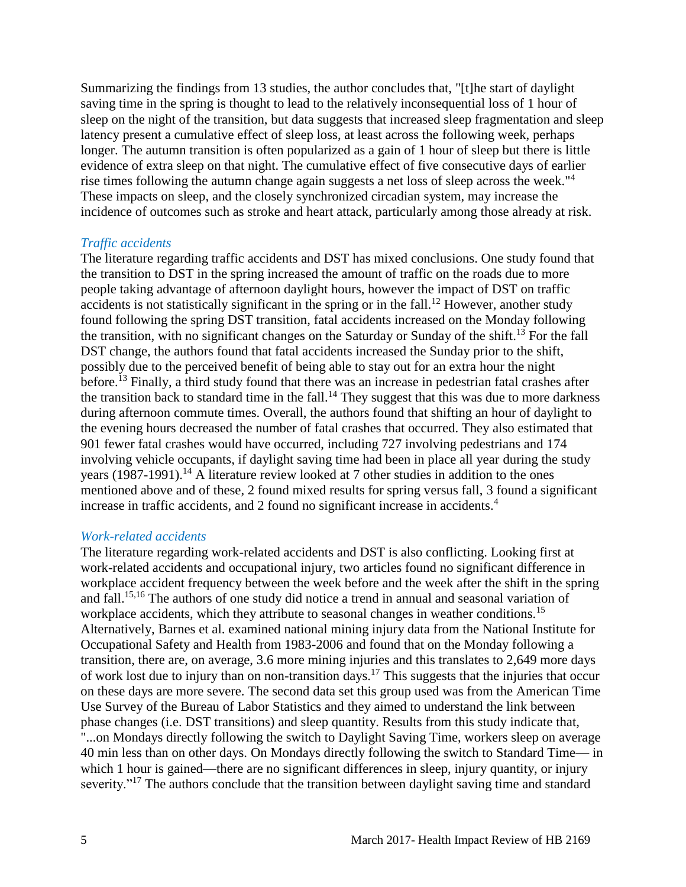Summarizing the findings from 13 studies, the author concludes that, "[t]he start of daylight saving time in the spring is thought to lead to the relatively inconsequential loss of 1 hour of sleep on the night of the transition, but data suggests that increased sleep fragmentation and sleep latency present a cumulative effect of sleep loss, at least across the following week, perhaps longer. The autumn transition is often popularized as a gain of 1 hour of sleep but there is little evidence of extra sleep on that night. The cumulative effect of five consecutive days of earlier rise times following the autumn change again suggests a net loss of sleep across the week."<sup>4</sup> These impacts on sleep, and the closely synchronized circadian system, may increase the incidence of outcomes such as stroke and heart attack, particularly among those already at risk.

#### *Traffic accidents*

The literature regarding traffic accidents and DST has mixed conclusions. One study found that the transition to DST in the spring increased the amount of traffic on the roads due to more people taking advantage of afternoon daylight hours, however the impact of DST on traffic accidents is not statistically significant in the spring or in the fall.<sup>12</sup> However, another study found following the spring DST transition, fatal accidents increased on the Monday following the transition, with no significant changes on the Saturday or Sunday of the shift.<sup>13</sup> For the fall DST change, the authors found that fatal accidents increased the Sunday prior to the shift, possibly due to the perceived benefit of being able to stay out for an extra hour the night before.<sup>13</sup> Finally, a third study found that there was an increase in pedestrian fatal crashes after the transition back to standard time in the fall.<sup>14</sup> They suggest that this was due to more darkness during afternoon commute times. Overall, the authors found that shifting an hour of daylight to the evening hours decreased the number of fatal crashes that occurred. They also estimated that 901 fewer fatal crashes would have occurred, including 727 involving pedestrians and 174 involving vehicle occupants, if daylight saving time had been in place all year during the study years (1987-1991).<sup>14</sup> A literature review looked at 7 other studies in addition to the ones mentioned above and of these, 2 found mixed results for spring versus fall, 3 found a significant increase in traffic accidents, and 2 found no significant increase in accidents.<sup>4</sup>

# *Work-related accidents*

The literature regarding work-related accidents and DST is also conflicting. Looking first at work-related accidents and occupational injury, two articles found no significant difference in workplace accident frequency between the week before and the week after the shift in the spring and fall. 15,16 The authors of one study did notice a trend in annual and seasonal variation of workplace accidents, which they attribute to seasonal changes in weather conditions.<sup>15</sup> Alternatively, Barnes et al. examined national mining injury data from the National Institute for Occupational Safety and Health from 1983-2006 and found that on the Monday following a transition, there are, on average, 3.6 more mining injuries and this translates to 2,649 more days of work lost due to injury than on non-transition days.<sup>17</sup> This suggests that the injuries that occur on these days are more severe. The second data set this group used was from the American Time Use Survey of the Bureau of Labor Statistics and they aimed to understand the link between phase changes (i.e. DST transitions) and sleep quantity. Results from this study indicate that, "...on Mondays directly following the switch to Daylight Saving Time, workers sleep on average 40 min less than on other days. On Mondays directly following the switch to Standard Time— in which 1 hour is gained—there are no significant differences in sleep, injury quantity, or injury severity."<sup>17</sup> The authors conclude that the transition between daylight saving time and standard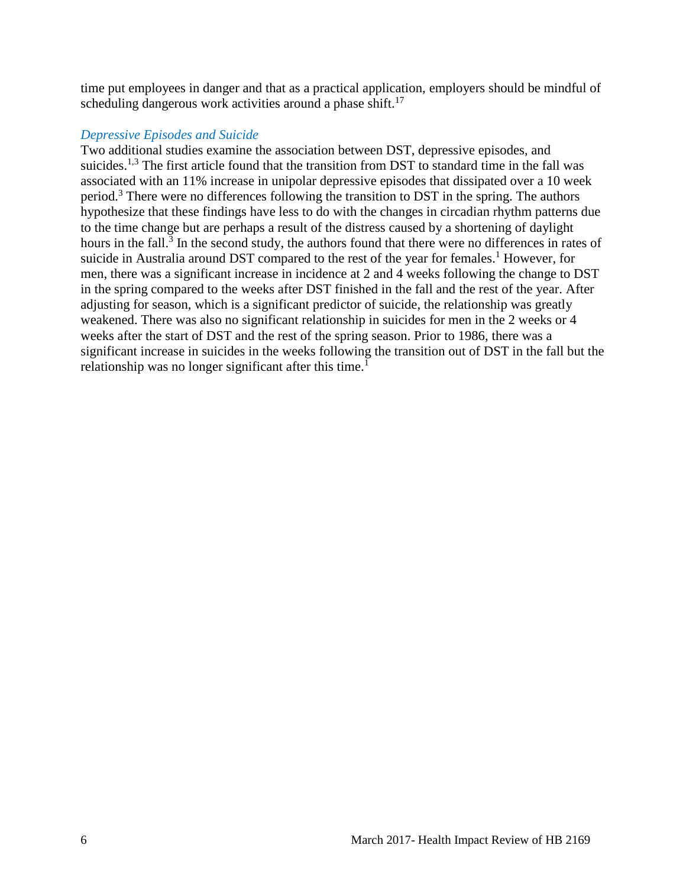time put employees in danger and that as a practical application, employers should be mindful of scheduling dangerous work activities around a phase shift.<sup>17</sup>

#### *Depressive Episodes and Suicide*

Two additional studies examine the association between DST, depressive episodes, and suicides.<sup>1,3</sup> The first article found that the transition from DST to standard time in the fall was associated with an 11% increase in unipolar depressive episodes that dissipated over a 10 week period.<sup>3</sup> There were no differences following the transition to DST in the spring. The authors hypothesize that these findings have less to do with the changes in circadian rhythm patterns due to the time change but are perhaps a result of the distress caused by a shortening of daylight hours in the fall.<sup>3</sup> In the second study, the authors found that there were no differences in rates of suicide in Australia around DST compared to the rest of the year for females.<sup>1</sup> However, for men, there was a significant increase in incidence at 2 and 4 weeks following the change to DST in the spring compared to the weeks after DST finished in the fall and the rest of the year. After adjusting for season, which is a significant predictor of suicide, the relationship was greatly weakened. There was also no significant relationship in suicides for men in the 2 weeks or 4 weeks after the start of DST and the rest of the spring season. Prior to 1986, there was a significant increase in suicides in the weeks following the transition out of DST in the fall but the relationship was no longer significant after this time.<sup>1</sup>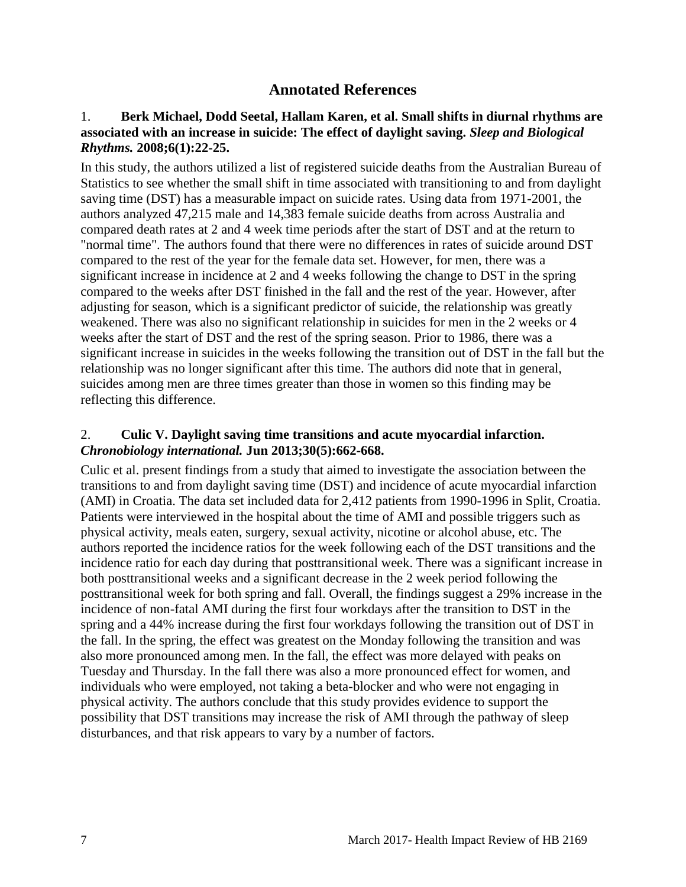# **Annotated References**

## 1. **Berk Michael, Dodd Seetal, Hallam Karen, et al. Small shifts in diurnal rhythms are associated with an increase in suicide: The effect of daylight saving.** *Sleep and Biological Rhythms.* **2008;6(1):22-25.**

In this study, the authors utilized a list of registered suicide deaths from the Australian Bureau of Statistics to see whether the small shift in time associated with transitioning to and from daylight saving time (DST) has a measurable impact on suicide rates. Using data from 1971-2001, the authors analyzed 47,215 male and 14,383 female suicide deaths from across Australia and compared death rates at 2 and 4 week time periods after the start of DST and at the return to "normal time". The authors found that there were no differences in rates of suicide around DST compared to the rest of the year for the female data set. However, for men, there was a significant increase in incidence at 2 and 4 weeks following the change to DST in the spring compared to the weeks after DST finished in the fall and the rest of the year. However, after adjusting for season, which is a significant predictor of suicide, the relationship was greatly weakened. There was also no significant relationship in suicides for men in the 2 weeks or 4 weeks after the start of DST and the rest of the spring season. Prior to 1986, there was a significant increase in suicides in the weeks following the transition out of DST in the fall but the relationship was no longer significant after this time. The authors did note that in general, suicides among men are three times greater than those in women so this finding may be reflecting this difference.

#### 2. **Culic V. Daylight saving time transitions and acute myocardial infarction.**  *Chronobiology international.* **Jun 2013;30(5):662-668.**

Culic et al. present findings from a study that aimed to investigate the association between the transitions to and from daylight saving time (DST) and incidence of acute myocardial infarction (AMI) in Croatia. The data set included data for 2,412 patients from 1990-1996 in Split, Croatia. Patients were interviewed in the hospital about the time of AMI and possible triggers such as physical activity, meals eaten, surgery, sexual activity, nicotine or alcohol abuse, etc. The authors reported the incidence ratios for the week following each of the DST transitions and the incidence ratio for each day during that posttransitional week. There was a significant increase in both posttransitional weeks and a significant decrease in the 2 week period following the posttransitional week for both spring and fall. Overall, the findings suggest a 29% increase in the incidence of non-fatal AMI during the first four workdays after the transition to DST in the spring and a 44% increase during the first four workdays following the transition out of DST in the fall. In the spring, the effect was greatest on the Monday following the transition and was also more pronounced among men. In the fall, the effect was more delayed with peaks on Tuesday and Thursday. In the fall there was also a more pronounced effect for women, and individuals who were employed, not taking a beta-blocker and who were not engaging in physical activity. The authors conclude that this study provides evidence to support the possibility that DST transitions may increase the risk of AMI through the pathway of sleep disturbances, and that risk appears to vary by a number of factors.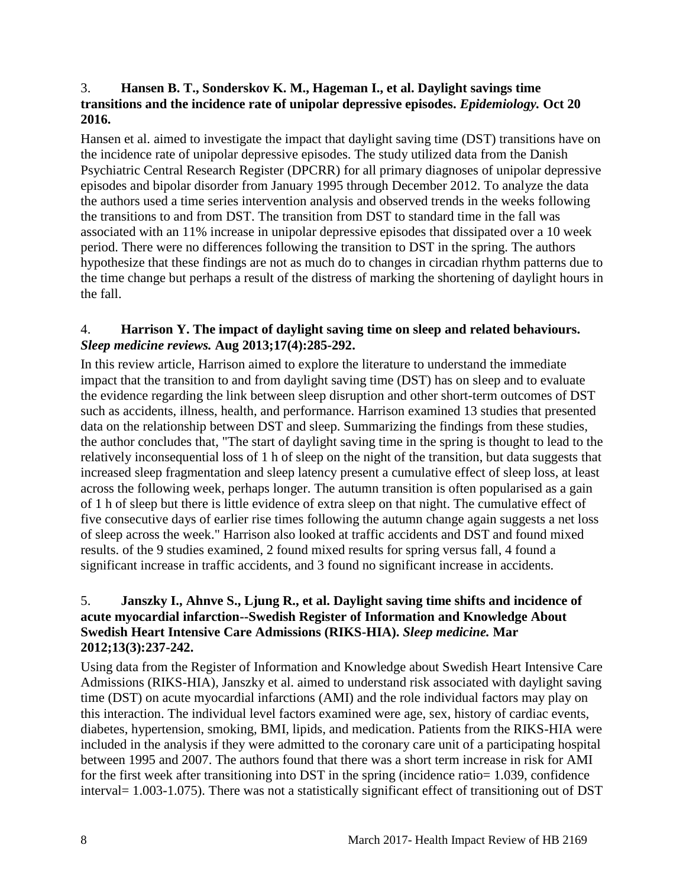# 3. **Hansen B. T., Sonderskov K. M., Hageman I., et al. Daylight savings time transitions and the incidence rate of unipolar depressive episodes.** *Epidemiology.* **Oct 20 2016.**

Hansen et al. aimed to investigate the impact that daylight saving time (DST) transitions have on the incidence rate of unipolar depressive episodes. The study utilized data from the Danish Psychiatric Central Research Register (DPCRR) for all primary diagnoses of unipolar depressive episodes and bipolar disorder from January 1995 through December 2012. To analyze the data the authors used a time series intervention analysis and observed trends in the weeks following the transitions to and from DST. The transition from DST to standard time in the fall was associated with an 11% increase in unipolar depressive episodes that dissipated over a 10 week period. There were no differences following the transition to DST in the spring. The authors hypothesize that these findings are not as much do to changes in circadian rhythm patterns due to the time change but perhaps a result of the distress of marking the shortening of daylight hours in the fall.

# 4. **Harrison Y. The impact of daylight saving time on sleep and related behaviours.**  *Sleep medicine reviews.* **Aug 2013;17(4):285-292.**

In this review article, Harrison aimed to explore the literature to understand the immediate impact that the transition to and from daylight saving time (DST) has on sleep and to evaluate the evidence regarding the link between sleep disruption and other short-term outcomes of DST such as accidents, illness, health, and performance. Harrison examined 13 studies that presented data on the relationship between DST and sleep. Summarizing the findings from these studies, the author concludes that, "The start of daylight saving time in the spring is thought to lead to the relatively inconsequential loss of 1 h of sleep on the night of the transition, but data suggests that increased sleep fragmentation and sleep latency present a cumulative effect of sleep loss, at least across the following week, perhaps longer. The autumn transition is often popularised as a gain of 1 h of sleep but there is little evidence of extra sleep on that night. The cumulative effect of five consecutive days of earlier rise times following the autumn change again suggests a net loss of sleep across the week." Harrison also looked at traffic accidents and DST and found mixed results. of the 9 studies examined, 2 found mixed results for spring versus fall, 4 found a significant increase in traffic accidents, and 3 found no significant increase in accidents.

# 5. **Janszky I., Ahnve S., Ljung R., et al. Daylight saving time shifts and incidence of acute myocardial infarction--Swedish Register of Information and Knowledge About Swedish Heart Intensive Care Admissions (RIKS-HIA).** *Sleep medicine.* **Mar 2012;13(3):237-242.**

Using data from the Register of Information and Knowledge about Swedish Heart Intensive Care Admissions (RIKS-HIA), Janszky et al. aimed to understand risk associated with daylight saving time (DST) on acute myocardial infarctions (AMI) and the role individual factors may play on this interaction. The individual level factors examined were age, sex, history of cardiac events, diabetes, hypertension, smoking, BMI, lipids, and medication. Patients from the RIKS-HIA were included in the analysis if they were admitted to the coronary care unit of a participating hospital between 1995 and 2007. The authors found that there was a short term increase in risk for AMI for the first week after transitioning into DST in the spring (incidence ratio= 1.039, confidence interval= 1.003-1.075). There was not a statistically significant effect of transitioning out of DST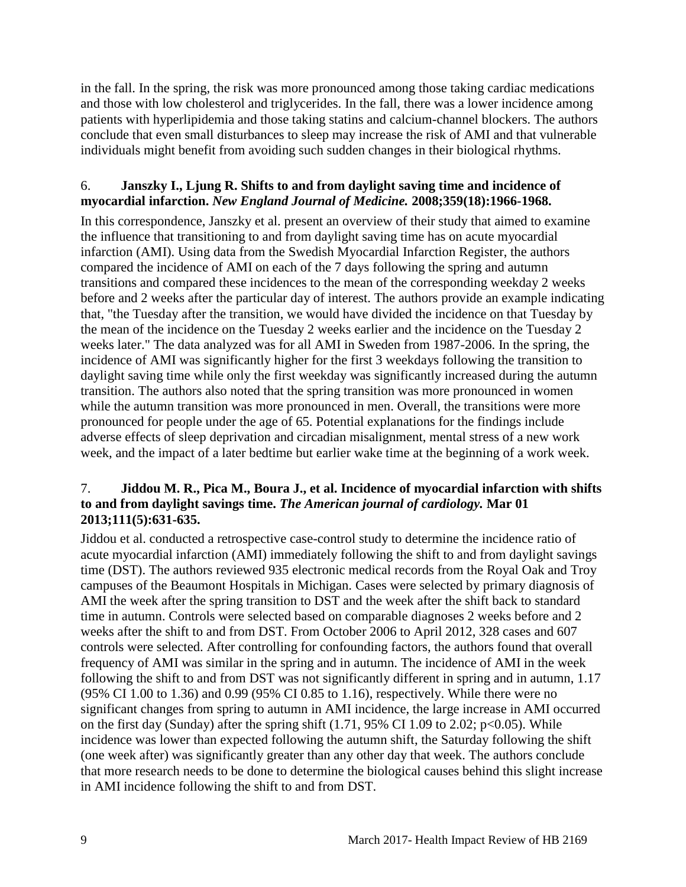in the fall. In the spring, the risk was more pronounced among those taking cardiac medications and those with low cholesterol and triglycerides. In the fall, there was a lower incidence among patients with hyperlipidemia and those taking statins and calcium-channel blockers. The authors conclude that even small disturbances to sleep may increase the risk of AMI and that vulnerable individuals might benefit from avoiding such sudden changes in their biological rhythms.

# 6. **Janszky I., Ljung R. Shifts to and from daylight saving time and incidence of myocardial infarction.** *New England Journal of Medicine.* **2008;359(18):1966-1968.**

In this correspondence, Janszky et al. present an overview of their study that aimed to examine the influence that transitioning to and from daylight saving time has on acute myocardial infarction (AMI). Using data from the Swedish Myocardial Infarction Register, the authors compared the incidence of AMI on each of the 7 days following the spring and autumn transitions and compared these incidences to the mean of the corresponding weekday 2 weeks before and 2 weeks after the particular day of interest. The authors provide an example indicating that, "the Tuesday after the transition, we would have divided the incidence on that Tuesday by the mean of the incidence on the Tuesday 2 weeks earlier and the incidence on the Tuesday 2 weeks later." The data analyzed was for all AMI in Sweden from 1987-2006. In the spring, the incidence of AMI was significantly higher for the first 3 weekdays following the transition to daylight saving time while only the first weekday was significantly increased during the autumn transition. The authors also noted that the spring transition was more pronounced in women while the autumn transition was more pronounced in men. Overall, the transitions were more pronounced for people under the age of 65. Potential explanations for the findings include adverse effects of sleep deprivation and circadian misalignment, mental stress of a new work week, and the impact of a later bedtime but earlier wake time at the beginning of a work week.

# 7. **Jiddou M. R., Pica M., Boura J., et al. Incidence of myocardial infarction with shifts to and from daylight savings time.** *The American journal of cardiology.* **Mar 01 2013;111(5):631-635.**

Jiddou et al. conducted a retrospective case-control study to determine the incidence ratio of acute myocardial infarction (AMI) immediately following the shift to and from daylight savings time (DST). The authors reviewed 935 electronic medical records from the Royal Oak and Troy campuses of the Beaumont Hospitals in Michigan. Cases were selected by primary diagnosis of AMI the week after the spring transition to DST and the week after the shift back to standard time in autumn. Controls were selected based on comparable diagnoses 2 weeks before and 2 weeks after the shift to and from DST. From October 2006 to April 2012, 328 cases and 607 controls were selected. After controlling for confounding factors, the authors found that overall frequency of AMI was similar in the spring and in autumn. The incidence of AMI in the week following the shift to and from DST was not significantly different in spring and in autumn, 1.17 (95% CI 1.00 to 1.36) and 0.99 (95% CI 0.85 to 1.16), respectively. While there were no significant changes from spring to autumn in AMI incidence, the large increase in AMI occurred on the first day (Sunday) after the spring shift  $(1.71, 95\% \text{ CI } 1.09 \text{ to } 2.02; \text{ p} < 0.05)$ . While incidence was lower than expected following the autumn shift, the Saturday following the shift (one week after) was significantly greater than any other day that week. The authors conclude that more research needs to be done to determine the biological causes behind this slight increase in AMI incidence following the shift to and from DST.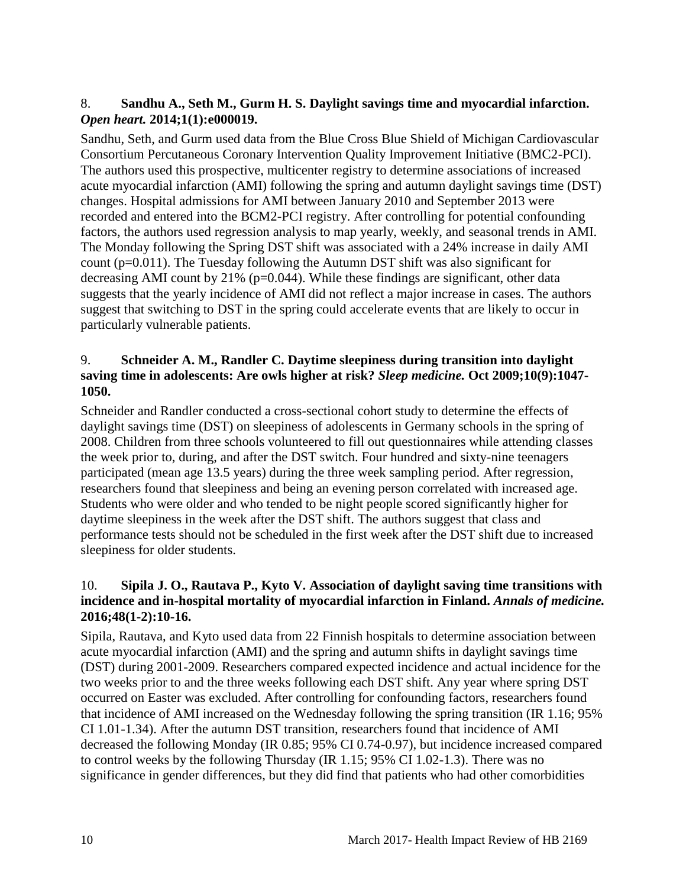# 8. **Sandhu A., Seth M., Gurm H. S. Daylight savings time and myocardial infarction.**  *Open heart.* **2014;1(1):e000019.**

Sandhu, Seth, and Gurm used data from the Blue Cross Blue Shield of Michigan Cardiovascular Consortium Percutaneous Coronary Intervention Quality Improvement Initiative (BMC2-PCI). The authors used this prospective, multicenter registry to determine associations of increased acute myocardial infarction (AMI) following the spring and autumn daylight savings time (DST) changes. Hospital admissions for AMI between January 2010 and September 2013 were recorded and entered into the BCM2-PCI registry. After controlling for potential confounding factors, the authors used regression analysis to map yearly, weekly, and seasonal trends in AMI. The Monday following the Spring DST shift was associated with a 24% increase in daily AMI count (p=0.011). The Tuesday following the Autumn DST shift was also significant for decreasing AMI count by 21% (p=0.044). While these findings are significant, other data suggests that the yearly incidence of AMI did not reflect a major increase in cases. The authors suggest that switching to DST in the spring could accelerate events that are likely to occur in particularly vulnerable patients.

# 9. **Schneider A. M., Randler C. Daytime sleepiness during transition into daylight saving time in adolescents: Are owls higher at risk?** *Sleep medicine.* **Oct 2009;10(9):1047- 1050.**

Schneider and Randler conducted a cross-sectional cohort study to determine the effects of daylight savings time (DST) on sleepiness of adolescents in Germany schools in the spring of 2008. Children from three schools volunteered to fill out questionnaires while attending classes the week prior to, during, and after the DST switch. Four hundred and sixty-nine teenagers participated (mean age 13.5 years) during the three week sampling period. After regression, researchers found that sleepiness and being an evening person correlated with increased age. Students who were older and who tended to be night people scored significantly higher for daytime sleepiness in the week after the DST shift. The authors suggest that class and performance tests should not be scheduled in the first week after the DST shift due to increased sleepiness for older students.

# 10. **Sipila J. O., Rautava P., Kyto V. Association of daylight saving time transitions with incidence and in-hospital mortality of myocardial infarction in Finland.** *Annals of medicine.*  **2016;48(1-2):10-16.**

Sipila, Rautava, and Kyto used data from 22 Finnish hospitals to determine association between acute myocardial infarction (AMI) and the spring and autumn shifts in daylight savings time (DST) during 2001-2009. Researchers compared expected incidence and actual incidence for the two weeks prior to and the three weeks following each DST shift. Any year where spring DST occurred on Easter was excluded. After controlling for confounding factors, researchers found that incidence of AMI increased on the Wednesday following the spring transition (IR 1.16; 95% CI 1.01-1.34). After the autumn DST transition, researchers found that incidence of AMI decreased the following Monday (IR 0.85; 95% CI 0.74-0.97), but incidence increased compared to control weeks by the following Thursday (IR 1.15; 95% CI 1.02-1.3). There was no significance in gender differences, but they did find that patients who had other comorbidities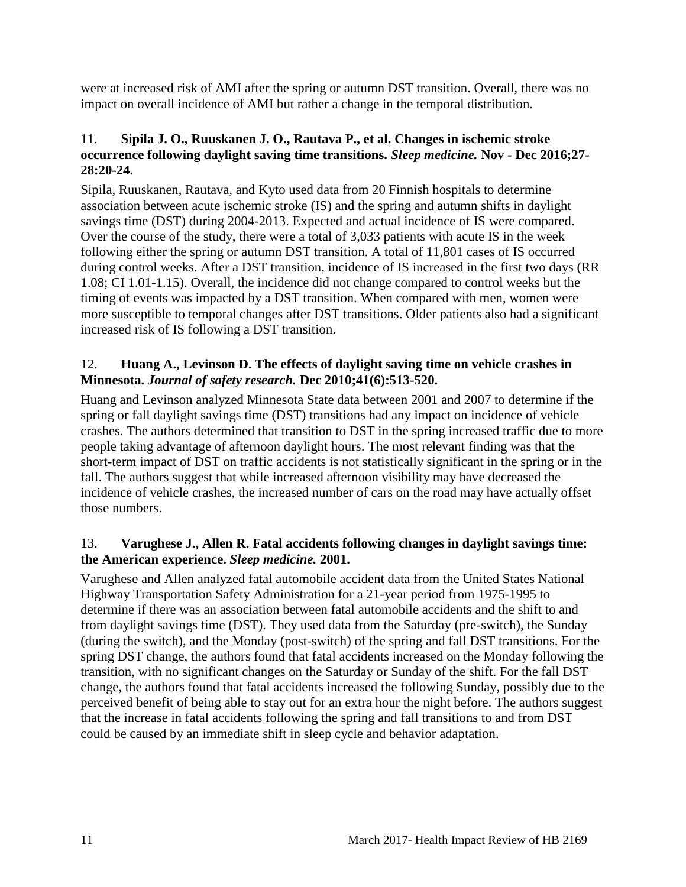were at increased risk of AMI after the spring or autumn DST transition. Overall, there was no impact on overall incidence of AMI but rather a change in the temporal distribution.

# 11. **Sipila J. O., Ruuskanen J. O., Rautava P., et al. Changes in ischemic stroke occurrence following daylight saving time transitions.** *Sleep medicine.* **Nov - Dec 2016;27- 28:20-24.**

Sipila, Ruuskanen, Rautava, and Kyto used data from 20 Finnish hospitals to determine association between acute ischemic stroke (IS) and the spring and autumn shifts in daylight savings time (DST) during 2004-2013. Expected and actual incidence of IS were compared. Over the course of the study, there were a total of 3,033 patients with acute IS in the week following either the spring or autumn DST transition. A total of 11,801 cases of IS occurred during control weeks. After a DST transition, incidence of IS increased in the first two days (RR 1.08; CI 1.01-1.15). Overall, the incidence did not change compared to control weeks but the timing of events was impacted by a DST transition. When compared with men, women were more susceptible to temporal changes after DST transitions. Older patients also had a significant increased risk of IS following a DST transition.

# 12. **Huang A., Levinson D. The effects of daylight saving time on vehicle crashes in Minnesota.** *Journal of safety research.* **Dec 2010;41(6):513-520.**

Huang and Levinson analyzed Minnesota State data between 2001 and 2007 to determine if the spring or fall daylight savings time (DST) transitions had any impact on incidence of vehicle crashes. The authors determined that transition to DST in the spring increased traffic due to more people taking advantage of afternoon daylight hours. The most relevant finding was that the short-term impact of DST on traffic accidents is not statistically significant in the spring or in the fall. The authors suggest that while increased afternoon visibility may have decreased the incidence of vehicle crashes, the increased number of cars on the road may have actually offset those numbers.

# 13. **Varughese J., Allen R. Fatal accidents following changes in daylight savings time: the American experience.** *Sleep medicine.* **2001.**

Varughese and Allen analyzed fatal automobile accident data from the United States National Highway Transportation Safety Administration for a 21-year period from 1975-1995 to determine if there was an association between fatal automobile accidents and the shift to and from daylight savings time (DST). They used data from the Saturday (pre-switch), the Sunday (during the switch), and the Monday (post-switch) of the spring and fall DST transitions. For the spring DST change, the authors found that fatal accidents increased on the Monday following the transition, with no significant changes on the Saturday or Sunday of the shift. For the fall DST change, the authors found that fatal accidents increased the following Sunday, possibly due to the perceived benefit of being able to stay out for an extra hour the night before. The authors suggest that the increase in fatal accidents following the spring and fall transitions to and from DST could be caused by an immediate shift in sleep cycle and behavior adaptation.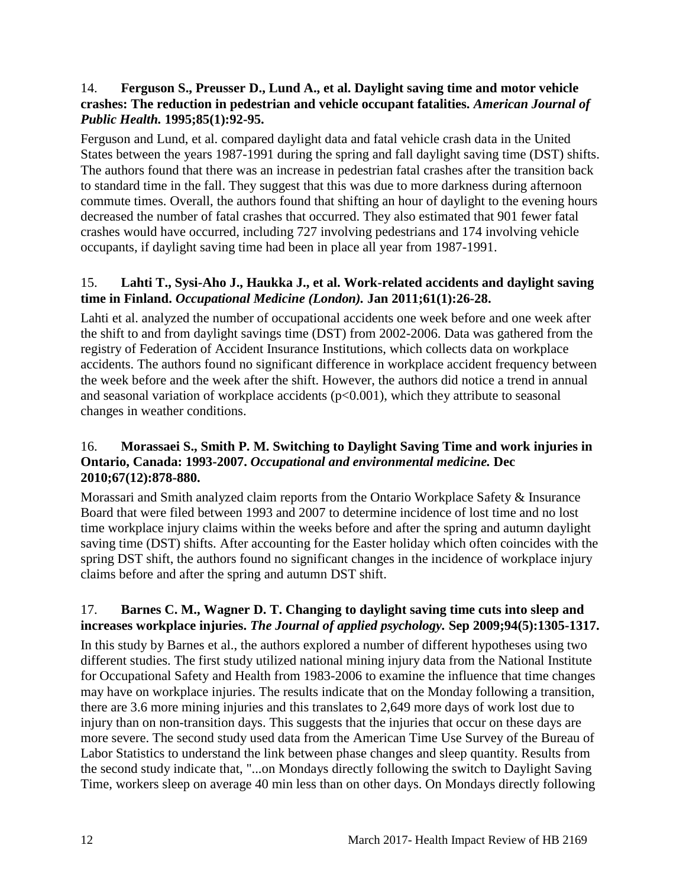# 14. **Ferguson S., Preusser D., Lund A., et al. Daylight saving time and motor vehicle crashes: The reduction in pedestrian and vehicle occupant fatalities.** *American Journal of Public Health.* **1995;85(1):92-95.**

Ferguson and Lund, et al. compared daylight data and fatal vehicle crash data in the United States between the years 1987-1991 during the spring and fall daylight saving time (DST) shifts. The authors found that there was an increase in pedestrian fatal crashes after the transition back to standard time in the fall. They suggest that this was due to more darkness during afternoon commute times. Overall, the authors found that shifting an hour of daylight to the evening hours decreased the number of fatal crashes that occurred. They also estimated that 901 fewer fatal crashes would have occurred, including 727 involving pedestrians and 174 involving vehicle occupants, if daylight saving time had been in place all year from 1987-1991.

# 15. **Lahti T., Sysi-Aho J., Haukka J., et al. Work-related accidents and daylight saving time in Finland.** *Occupational Medicine (London).* **Jan 2011;61(1):26-28.**

Lahti et al. analyzed the number of occupational accidents one week before and one week after the shift to and from daylight savings time (DST) from 2002-2006. Data was gathered from the registry of Federation of Accident Insurance Institutions, which collects data on workplace accidents. The authors found no significant difference in workplace accident frequency between the week before and the week after the shift. However, the authors did notice a trend in annual and seasonal variation of workplace accidents  $(p<0.001)$ , which they attribute to seasonal changes in weather conditions.

# 16. **Morassaei S., Smith P. M. Switching to Daylight Saving Time and work injuries in Ontario, Canada: 1993-2007.** *Occupational and environmental medicine.* **Dec 2010;67(12):878-880.**

Morassari and Smith analyzed claim reports from the Ontario Workplace Safety & Insurance Board that were filed between 1993 and 2007 to determine incidence of lost time and no lost time workplace injury claims within the weeks before and after the spring and autumn daylight saving time (DST) shifts. After accounting for the Easter holiday which often coincides with the spring DST shift, the authors found no significant changes in the incidence of workplace injury claims before and after the spring and autumn DST shift.

# 17. **Barnes C. M., Wagner D. T. Changing to daylight saving time cuts into sleep and increases workplace injuries.** *The Journal of applied psychology.* **Sep 2009;94(5):1305-1317.**

In this study by Barnes et al., the authors explored a number of different hypotheses using two different studies. The first study utilized national mining injury data from the National Institute for Occupational Safety and Health from 1983-2006 to examine the influence that time changes may have on workplace injuries. The results indicate that on the Monday following a transition, there are 3.6 more mining injuries and this translates to 2,649 more days of work lost due to injury than on non-transition days. This suggests that the injuries that occur on these days are more severe. The second study used data from the American Time Use Survey of the Bureau of Labor Statistics to understand the link between phase changes and sleep quantity. Results from the second study indicate that, "...on Mondays directly following the switch to Daylight Saving Time, workers sleep on average 40 min less than on other days. On Mondays directly following